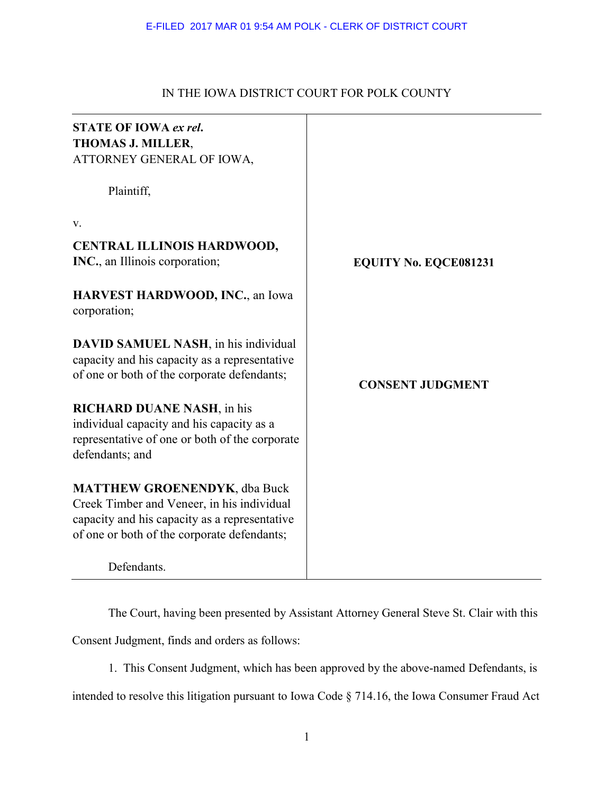# IN THE IOWA DISTRICT COURT FOR POLK COUNTY

| <b>STATE OF IOWA ex rel.</b><br><b>THOMAS J. MILLER,</b><br>ATTORNEY GENERAL OF IOWA,                                                                                             |                              |
|-----------------------------------------------------------------------------------------------------------------------------------------------------------------------------------|------------------------------|
| Plaintiff,                                                                                                                                                                        |                              |
| V.                                                                                                                                                                                |                              |
| <b>CENTRAL ILLINOIS HARDWOOD,</b><br>INC., an Illinois corporation;                                                                                                               | <b>EQUITY No. EQCE081231</b> |
| <b>HARVEST HARDWOOD, INC., an Iowa</b><br>corporation;                                                                                                                            |                              |
| <b>DAVID SAMUEL NASH, in his individual</b><br>capacity and his capacity as a representative<br>of one or both of the corporate defendants;                                       | <b>CONSENT JUDGMENT</b>      |
| <b>RICHARD DUANE NASH, in his</b><br>individual capacity and his capacity as a<br>representative of one or both of the corporate<br>defendants; and                               |                              |
| <b>MATTHEW GROENENDYK, dba Buck</b><br>Creek Timber and Veneer, in his individual<br>capacity and his capacity as a representative<br>of one or both of the corporate defendants; |                              |
| Defendants.                                                                                                                                                                       |                              |

The Court, having been presented by Assistant Attorney General Steve St. Clair with this

Consent Judgment, finds and orders as follows:

1. This Consent Judgment, which has been approved by the above-named Defendants, is

intended to resolve this litigation pursuant to Iowa Code § 714.16, the Iowa Consumer Fraud Act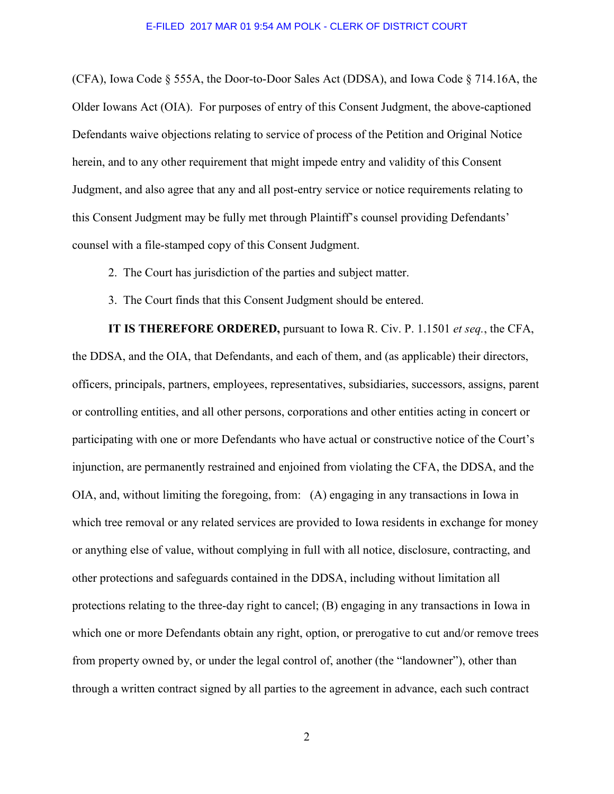(CFA), Iowa Code § 555A, the Door-to-Door Sales Act (DDSA), and Iowa Code § 714.16A, the Older Iowans Act (OIA). For purposes of entry of this Consent Judgment, the above-captioned Defendants waive objections relating to service of process of the Petition and Original Notice herein, and to any other requirement that might impede entry and validity of this Consent Judgment, and also agree that any and all post-entry service or notice requirements relating to this Consent Judgment may be fully met through Plaintiff's counsel providing Defendants' counsel with a file-stamped copy of this Consent Judgment.

- 2. The Court has jurisdiction of the parties and subject matter.
- 3. The Court finds that this Consent Judgment should be entered.

**IT IS THEREFORE ORDERED,** pursuant to Iowa R. Civ. P. 1.1501 *et seq.*, the CFA, the DDSA, and the OIA, that Defendants, and each of them, and (as applicable) their directors, officers, principals, partners, employees, representatives, subsidiaries, successors, assigns, parent or controlling entities, and all other persons, corporations and other entities acting in concert or participating with one or more Defendants who have actual or constructive notice of the Court's injunction, are permanently restrained and enjoined from violating the CFA, the DDSA, and the OIA, and, without limiting the foregoing, from: (A) engaging in any transactions in Iowa in which tree removal or any related services are provided to Iowa residents in exchange for money or anything else of value, without complying in full with all notice, disclosure, contracting, and other protections and safeguards contained in the DDSA, including without limitation all protections relating to the three-day right to cancel; (B) engaging in any transactions in Iowa in which one or more Defendants obtain any right, option, or prerogative to cut and/or remove trees from property owned by, or under the legal control of, another (the "landowner"), other than through a written contract signed by all parties to the agreement in advance, each such contract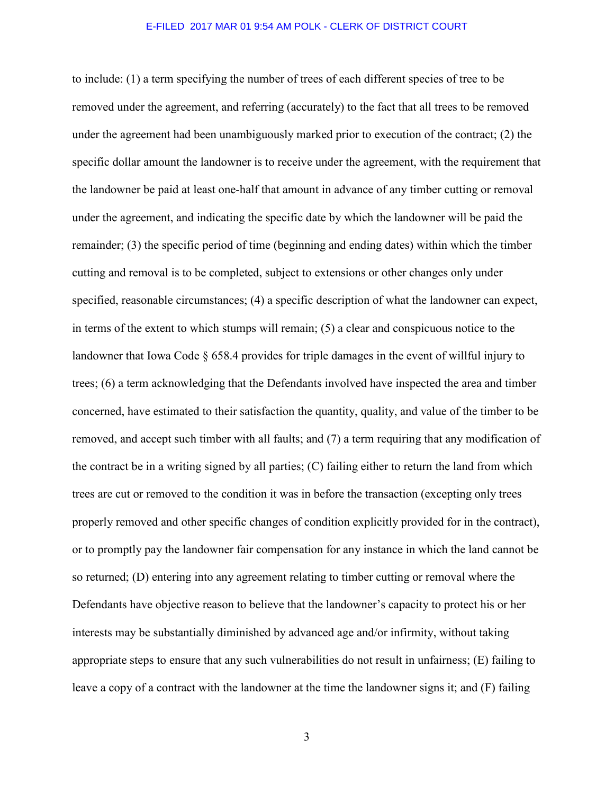to include: (1) a term specifying the number of trees of each different species of tree to be removed under the agreement, and referring (accurately) to the fact that all trees to be removed under the agreement had been unambiguously marked prior to execution of the contract; (2) the specific dollar amount the landowner is to receive under the agreement, with the requirement that the landowner be paid at least one-half that amount in advance of any timber cutting or removal under the agreement, and indicating the specific date by which the landowner will be paid the remainder; (3) the specific period of time (beginning and ending dates) within which the timber cutting and removal is to be completed, subject to extensions or other changes only under specified, reasonable circumstances; (4) a specific description of what the landowner can expect, in terms of the extent to which stumps will remain; (5) a clear and conspicuous notice to the landowner that Iowa Code § 658.4 provides for triple damages in the event of willful injury to trees; (6) a term acknowledging that the Defendants involved have inspected the area and timber concerned, have estimated to their satisfaction the quantity, quality, and value of the timber to be removed, and accept such timber with all faults; and (7) a term requiring that any modification of the contract be in a writing signed by all parties; (C) failing either to return the land from which trees are cut or removed to the condition it was in before the transaction (excepting only trees properly removed and other specific changes of condition explicitly provided for in the contract), or to promptly pay the landowner fair compensation for any instance in which the land cannot be so returned; (D) entering into any agreement relating to timber cutting or removal where the Defendants have objective reason to believe that the landowner's capacity to protect his or her interests may be substantially diminished by advanced age and/or infirmity, without taking appropriate steps to ensure that any such vulnerabilities do not result in unfairness; (E) failing to leave a copy of a contract with the landowner at the time the landowner signs it; and (F) failing

3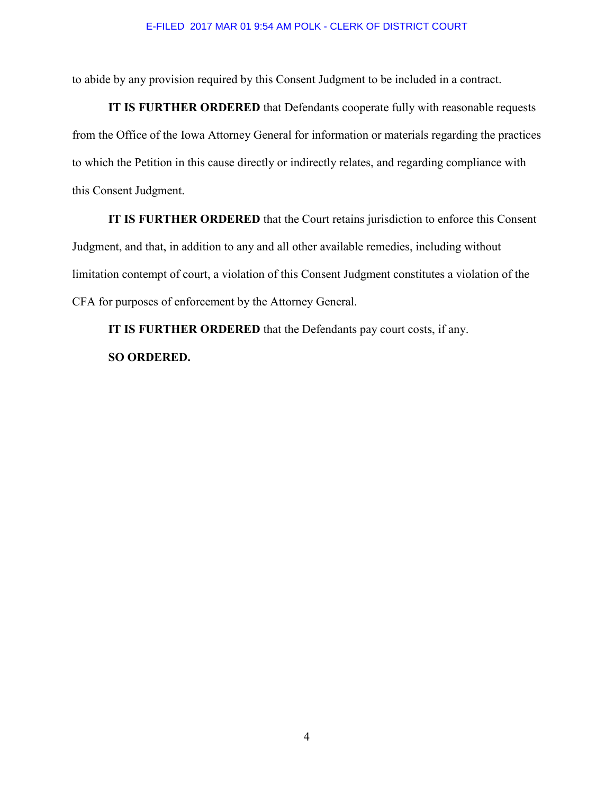to abide by any provision required by this Consent Judgment to be included in a contract.

**IT IS FURTHER ORDERED** that Defendants cooperate fully with reasonable requests from the Office of the Iowa Attorney General for information or materials regarding the practices to which the Petition in this cause directly or indirectly relates, and regarding compliance with this Consent Judgment.

**IT IS FURTHER ORDERED** that the Court retains jurisdiction to enforce this Consent Judgment, and that, in addition to any and all other available remedies, including without limitation contempt of court, a violation of this Consent Judgment constitutes a violation of the CFA for purposes of enforcement by the Attorney General.

**IT IS FURTHER ORDERED** that the Defendants pay court costs, if any. **SO ORDERED.**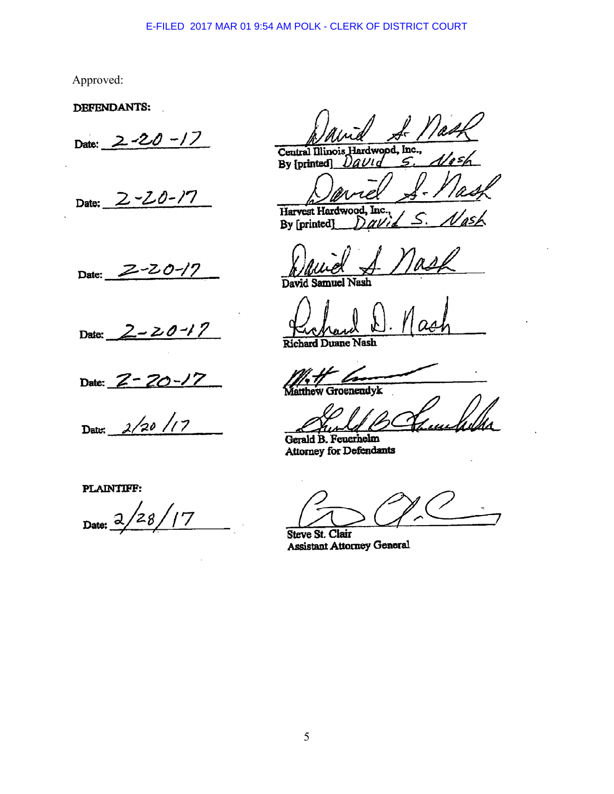Approved:

DEFENDANTS:

Date:  $2 - 20 - 17$ 

Date: 2-20-17

Date: 2-20-17

Date:  $2 - 20 - 17$ 

Date:  $Z$  –

Date:  $\frac{2}{20}$  /17

PLAINTIFF:

28, Date:  $\overline{\alpha}$ 

Hardwood, Inc.,

Central Illinois By [printed]  $\subset$ IJLn

Harvest Hardwood Tnc 'asi By [printed] r v

David Samuel Nash

**Richard Duane Nash** 

penendyk

Gerald B. Feuerhelm Attorney for Defendants

Steve St. Clair Assistant Attorney General